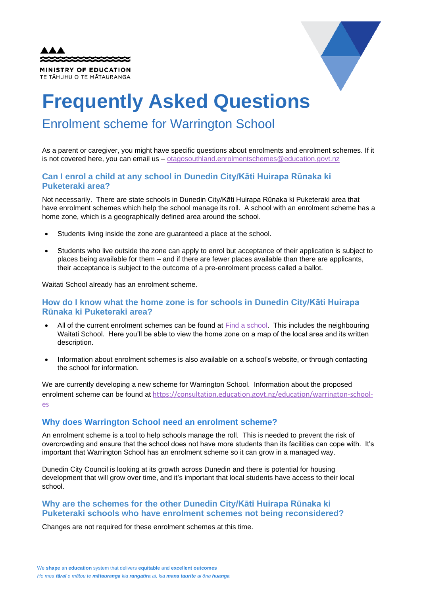| <b>AAA</b>                                         |  |
|----------------------------------------------------|--|
| MINISTRY OF EDUCATION<br>TE TĂHUHU O TE MĂTAURANGA |  |



# **Frequently Asked Questions**

# Enrolment scheme for Warrington School

As a parent or caregiver, you might have specific questions about enrolments and enrolment schemes. If it is not covered here, you can email us – [otagosouthland.enrolmentschemes@education.govt.nz](mailto:otagosouthland.enrolmentschemes@education.govt.nz)

## **Can I enrol a child at any school in Dunedin City/Kāti Huirapa Rūnaka ki Puketeraki area?**

Not necessarily. There are state schools in Dunedin City/Kāti Huirapa Rūnaka ki Puketeraki area that have enrolment schemes which help the school manage its roll. A school with an enrolment scheme has a home zone, which is a geographically defined area around the school.

- Students living inside the zone are guaranteed a place at the school.
- Students who live outside the zone can apply to enrol but acceptance of their application is subject to places being available for them – and if there are fewer places available than there are applicants, their acceptance is subject to the outcome of a pre-enrolment process called a ballot.

Waitati School already has an enrolment scheme.

## **How do I know what the home zone is for schools in Dunedin City/Kāti Huirapa Rūnaka ki Puketeraki area?**

- All of the current enrolment schemes can be found at [Find a school.](https://nzschools.tki.org.nz/) This includes the neighbouring Waitati School. Here you'll be able to view the home zone on a map of the local area and its written description.
- Information about enrolment schemes is also available on a school's website, or through contacting the school for information.

We are currently developing a new scheme for Warrington School. Information about the proposed enrolment scheme can be found at [https://consultation.education.govt.nz/education/warrington-school](https://consultation.education.govt.nz/education/warrington-school-es)[es](https://consultation.education.govt.nz/education/warrington-school-es)

# **Why does Warrington School need an enrolment scheme?**

An enrolment scheme is a tool to help schools manage the roll. This is needed to prevent the risk of overcrowding and ensure that the school does not have more students than its facilities can cope with. It's important that Warrington School has an enrolment scheme so it can grow in a managed way.

Dunedin City Council is looking at its growth across Dunedin and there is potential for housing development that will grow over time, and it's important that local students have access to their local school.

# **Why are the schemes for the other Dunedin City/Kāti Huirapa Rūnaka ki Puketeraki schools who have enrolment schemes not being reconsidered?**

Changes are not required for these enrolment schemes at this time.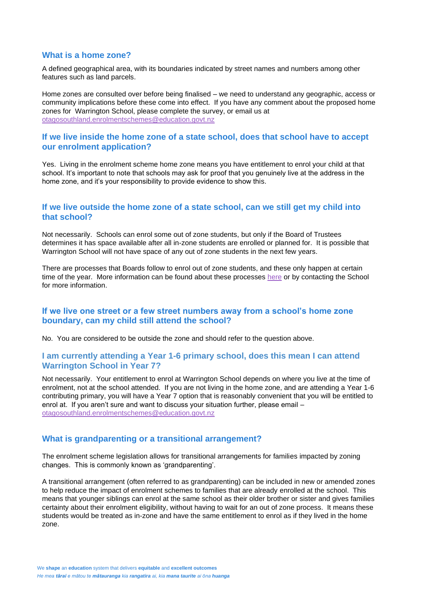#### **What is a home zone?**

A defined geographical area, with its boundaries indicated by street names and numbers among other features such as land parcels.

Home zones are consulted over before being finalised – we need to understand any geographic, access or community implications before these come into effect. If you have any comment about the proposed home zones for Warrington School, please complete the survey, or email us at [otagosouthland.enrolmentschemes@education.govt.nz](mailto:otagosouthland.enrolmentschemes@education.govt.nz)

#### **If we live inside the home zone of a state school, does that school have to accept our enrolment application?**

Yes. Living in the enrolment scheme home zone means you have entitlement to enrol your child at that school. It's important to note that schools may ask for proof that you genuinely live at the address in the home zone, and it's your responsibility to provide evidence to show this.

#### **If we live outside the home zone of a state school, can we still get my child into that school?**

Not necessarily. Schools can enrol some out of zone students, but only if the Board of Trustees determines it has space available after all in-zone students are enrolled or planned for. It is possible that Warrington School will not have space of any out of zone students in the next few years.

There are processes that Boards follow to enrol out of zone students, and these only happen at certain time of the year. More information can be found about these processes [here](https://www.education.govt.nz/new-zealands-network-of-schools/about-enrolment-schemes/frequently-asked-questions-about-enrolment-schemes/) or by contacting the School for more information.

#### **If we live one street or a few street numbers away from a school's home zone boundary, can my child still attend the school?**

No. You are considered to be outside the zone and should refer to the question above.

#### **I am currently attending a Year 1-6 primary school, does this mean I can attend Warrington School in Year 7?**

Not necessarily. Your entitlement to enrol at Warrington School depends on where you live at the time of enrolment, not at the school attended. If you are not living in the home zone, and are attending a Year 1-6 contributing primary, you will have a Year 7 option that is reasonably convenient that you will be entitled to enrol at. If you aren't sure and want to discuss your situation further, please email – [otagosouthland.enrolmentschemes@education.govt.nz](mailto:otagosouthland.enrolmentschemes@education.govt.nz)

#### **What is grandparenting or a transitional arrangement?**

The enrolment scheme legislation allows for transitional arrangements for families impacted by zoning changes. This is commonly known as 'grandparenting'.

A transitional arrangement (often referred to as grandparenting) can be included in new or amended zones to help reduce the impact of enrolment schemes to families that are already enrolled at the school. This means that younger siblings can enrol at the same school as their older brother or sister and gives families certainty about their enrolment eligibility, without having to wait for an out of zone process. It means these students would be treated as in-zone and have the same entitlement to enrol as if they lived in the home zone.